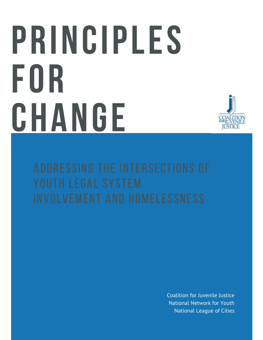# **P R I N C I P L E S F O R C H A N G E**



Coalition for Juvenile Justice National Network for Youth National League of Cities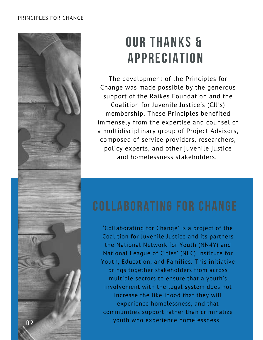

# **OUR THANKS & A P P R E C I A T I O N**

The development of the Principles for Change was made possible by the generous support of the Raikes Foundation and the Coalition for Juvenile Justice's (CJJ's) membership. These Principles benefited immensely from the expertise and counsel of a multidisciplinary group of Project Advisors, composed of service providers, researchers, policy experts, and other juvenile justice and homelessness stakeholders.

'Collaborating for Change' is a project of the Coalition for Juvenile Justice and its partners the National Network for Youth (NN4Y) and National League of Cities' (NLC) Institute for Youth, Education, and Families. This initiative brings together stakeholders from across multiple sectors to ensure that a youth's involvement with the legal system does not increase the likelihood that they will experience homelessness, and that communities support rather than criminalize youth who experience homelessness. **0 2**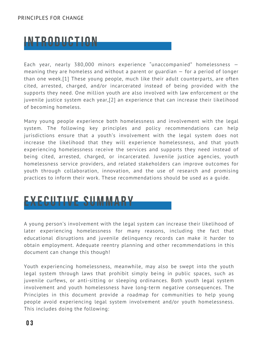# **I N T R O D U C T I O N**

Each year, nearly 380,000 minors experience "unaccompanied" homelessness meaning they are homeless and without a parent or guardian — for a period of longer than one week.[1] These young people, much like their adult counterparts, are often cited, arrested, charged, and/or incarcerated instead of being provided with the supports they need. One million youth are also involved with law enforcement or the juvenile justice system each year,[2] an experience that can increase their likelihood of becoming homeless.

Many young people experience both homelessness and involvement with the legal system. The following key principles and policy recommendations can help jurisdictions ensure that a youth's involvement with the legal system does not increase the likelihood that they will experience homelessness, and that youth experiencing homelessness receive the services and supports they need instead of being cited, arrested, charged, or incarcerated. Juvenile justice agencies, youth homelessness service providers, and related stakeholders can improve outcomes for youth through collaboration, innovation, and the use of research and promising practices to inform their work. These recommendations should be used as a guide.

# **E X E C U T I V E S U M M A R Y**

A young person's involvement with the legal system can increase their likelihood of later experiencing homelessness for many reasons, including the fact that educational disruptions and juvenile delinquency records can make it harder to obtain employment. Adequate reentry planning and other recommendations in this document can change this though!

Youth experiencing homelessness, meanwhile, may also be swept into the youth legal system through laws that prohibit simply being in public spaces, such as juvenile curfews, or anti-sitting or sleeping ordinances. Both youth legal system involvement and youth homelessness have long-term negative consequences. The Principles in this document provide a roadmap for communities to help young people avoid experiencing legal system involvement and/or youth homelessness. This includes doing the following: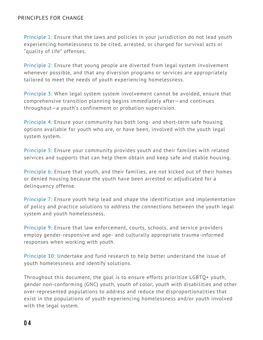Principle 1: Ensure that the laws and policies in your jurisdiction do not lead youth experiencing homelessness to be cited, arrested, or charged for survival acts or "quality of life" offenses.

Principle 2: Ensure that young people are diverted from legal system involvement whenever possible, and that any diversion programs or services are appropriately tailored to meet the needs of youth experiencing homelessness.

Principle 3: When legal system system involvement cannot be avoided, ensure that comprehensive transition planning begins immediately after—and continues throughout—a youth's confinement or probation supervision.

Principle 4: Ensure your community has both long- and short-term safe housing options available for youth who are, or have been, involved with the youth legal system system.

Principle 5: Ensure your community provides youth and their families with related services and supports that can help them obtain and keep safe and stable housing.

Principle 6: Ensure that youth, and their families, are not kicked out of their homes or denied housing because the youth have been arrested or adjudicated for a delinquency offense.

Principle 7: Ensure youth help lead and shape the identification and implementation of policy and practice solutions to address the connections between the youth legal system and youth homelessness.

Principle 9: Ensure that law enforcement, courts, schools, and service providers employ gender-responsive and age- and culturally appropriate trauma-informed responses when working with youth.

Principle 10: Undertake and fund research to help better understand the issue of youth homelessness and identify solutions.

Throughout this document, the goal is to ensure efforts prioritize LGBTQ+ youth, gender non-conforming (GNC) youth, youth of color, youth with disabilities and other over-represented populations to address and reduce the disproportionalities that exist in the populations of youth experiencing homelessness and/or youth involved with the legal system.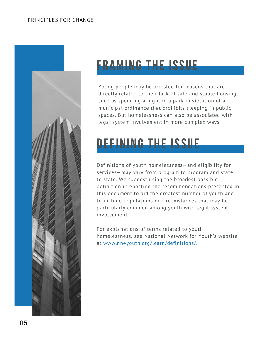

# **NG THE ISSUE**

Young people may be arrested for reasons that are directly related to their lack of safe and stable housing, such as spending a night in a park in violation of a municipal ordinance that prohibits sleeping in public spaces. But homelessness can also be associated with legal system involvement in more complex ways.

# **ING THE ICCIIE**

Definitions of youth homelessness—and eligibility for services—may vary from program to program and state to state. We suggest using the broadest possible definition in enacting the recommendations presented in this document to aid the greatest number of youth and to include populations or circumstances that may be particularly common among youth with legal system involvement.

For explanations of terms related to youth homelessness, see National Network for Youth's website at [www.nn4youth.org/learn/definitions/.](http://www.nn4youth.org/learn/definitions/)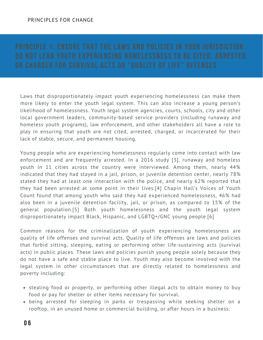Laws that disproportionately impact youth experiencing homelessness can make them more likely to enter the youth legal system. This can also increase a young person's likelihood of homelessness. Youth legal system agencies, courts, schools, city and other local government leaders, community-based service providers (including runaway and homeless youth programs), law enforcement, and other stakeholders all have a role to play in ensuring that youth are not cited, arrested, charged, or incarcerated for their lack of stable, secure, and permanent housing.

Young people who are experiencing homelessness regularly come into contact with law enforcement and are frequently arrested. In a 2016 study [3], runaway and homeless youth in 11 cities across the country were interviewed. Among them, nearly 44% indicated that they had stayed in a jail, prison, or juvenile detention center, nearly 78% stated they had at least one interaction with the police, and nearly 62% reported that they had been arrested at some point in their lives.[4] Chapin Hall's Voices of Youth Count found that among youth who said they had experienced homelessness, 46% had also been in a juvenile detention facility, jail, or prison, as compared to 15% of the general population.[5] Both youth homelessness and the youth legal system disproportionately impact Black, Hispanic, and LGBTQ+/GNC young people.[6]

Common reasons for the criminalization of youth experiencing homelessness are quality of life offenses and survival acts. Quality of life offenses are laws and policies that forbid sitting, sleeping, eating or performing other life-sustaining acts (survival acts) in public places. These laws and policies punish young people solely because they do not have a safe and stable place to live. Youth may also become involved with the legal system in other circumstances that are directly related to homelessness and poverty including:

- stealing food or property, or performing other illegal acts to obtain money to buy food or pay for shelter or other items necessary for survival.
- being arrested for sleeping in parks or trespassing while seeking shelter on a rooftop, in an unused home or commercial building, or after hours in a business.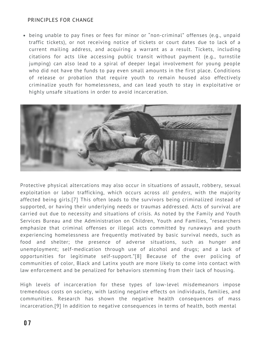being unable to pay fines or fees for minor or "non-criminal" offenses (e.g., unpaid traffic tickets), or not receiving notice of tickets or court dates due to lack of a current mailing address, and acquiring a warrant as a result. Tickets, including citations for acts like accessing public transit without payment (e.g., turnstile jumping) can also lead to a spiral of deeper legal involvement for young people who did not have the funds to pay even small amounts in the first place. Conditions of release or probation that require youth to remain housed also effectively criminalize youth for homelessness, and can lead youth to stay in exploitative or highly unsafe situations in order to avoid incarceration.



Protective physical altercations may also occur in situations of assault, robbery, sexual exploitation or labor trafficking, which occurs across *all genders*, with the majority affected being girls.[7] This often leads to the survivors being criminalized instead of supported, or having their underlying needs or traumas addressed. Acts of survival are carried out due to necessity and situations of crisis. As noted by the Family and Youth Services Bureau and the Administration on Children, Youth and Families, "researchers emphasize that criminal offenses or illegal acts committed by runaways and youth experiencing homelessness are frequently motivated by basic survival needs, such as food and shelter; the presence of adverse situations, such as hunger and unemployment; self-medication through use of alcohol and drugs; and a lack of opportunities for legitimate self-support."[8] Because of the over policing of communities of color, Black and Latinx youth are more likely to come into contact with law enforcement and be penalized for behaviors stemming from their lack of housing.

High levels of incarceration for these types of low-level misdemeanors impose tremendous costs on society, with lasting negative effects on individuals, families, and communities. [Research](https://www.ncmedicaljournal.com/content/ncm/80/6/372.full.pdf) has shown the negative health consequences of mass incarceration.[9] In addition to negative consequences in terms of health, both mental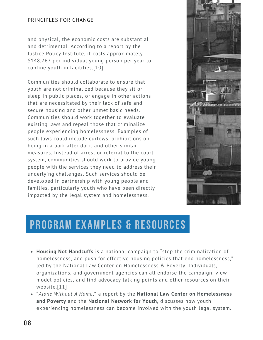and physical, the economic costs are substantial and detrimental. According to a [report](https://justicepolicy.org/wp-content/uploads/justicepolicy/documents/executive_summary_-_sticker_shock_final.pdf) by the Justice Policy Institute, it costs approximately \$148,767 per individual young person per year to confine youth in facilities.[10]

Communities should collaborate to ensure that youth are not criminalized because they sit or sleep in public places, or engage in other actions that are necessitated by their lack of safe and secure housing and other unmet basic needs. Communities should work together to evaluate existing laws and repeal those that criminalize people experiencing homelessness. Examples of such laws could include curfews, prohibitions on being in a park after dark, and other similar measures. Instead of arrest or referral to the court system, communities should work to provide young people with the services they need to address their underlying challenges. Such services should be developed in partnership with young people and families, particularly youth who have been directly impacted by the legal system and homelessness.



- **[Housing Not Handcuffs](https://nlchp.org/housing-not-handcuffs/)** is a national campaign to "stop the criminalization of [homelessness, and push for effective housing policies that end homelessness,"](https://www.cga.ct.gov/2016/act/pa/pdf/2016PA-00147-R00HB-05642-PA.pdf) led by the National Law Center on Homelessness & Poverty. Individuals, organizations, and government agencies can all endorse the campaign, view model policies, and find advocacy talking points and other resources on their website.[11]
- **["](https://www.cga.ct.gov/2016/act/pa/pdf/2016PA-00147-R00HB-05642-PA.pdf)***[Alone Without A Home](http://bit.ly/2lirh3j)***[,"](https://www.cga.ct.gov/2016/act/pa/pdf/2016PA-00147-R00HB-05642-PA.pdf)** [a report by the](https://www.cga.ct.gov/2016/act/pa/pdf/2016PA-00147-R00HB-05642-PA.pdf) **[National Law Center on Homelessness](https://www.cga.ct.gov/2016/act/pa/pdf/2016PA-00147-R00HB-05642-PA.pdf) and Poverty** [and the](https://www.cga.ct.gov/2016/act/pa/pdf/2016PA-00147-R00HB-05642-PA.pdf) **[National Network for Youth](https://www.cga.ct.gov/2016/act/pa/pdf/2016PA-00147-R00HB-05642-PA.pdf)**, discusses how youth [experiencing homelessness can become involved with the youth legal](https://www.cga.ct.gov/2016/act/pa/pdf/2016PA-00147-R00HB-05642-PA.pdf) system.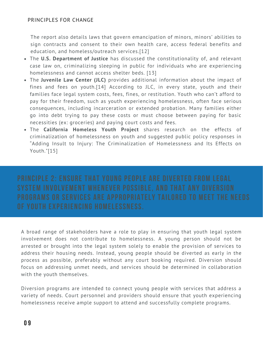The report also details laws that govern emancipation of minors, minors' abilities to sign contracts and consent to their own health care, access federal benefits and education, and homeless/outreach services.[12]

- [The](http://bit.ly/2kKBAK2) **[U.S. Department of Justice](http://bit.ly/2kKBAK2)** [has discussed](https://www.cga.ct.gov/2016/act/pa/pdf/2016PA-00147-R00HB-05642-PA.pdf) the constitutionality of, and relevant [case law on, criminalizing sleeping in public for individuals who are experiencing](https://www.cga.ct.gov/2016/act/pa/pdf/2016PA-00147-R00HB-05642-PA.pdf) homelessness and cannot access shelter beds. [13]
- [The](http://debtorsprison.jlc.org/#!/map) **[Juvenile Law Center](http://debtorsprison.jlc.org/#!/map) [\(JLC\)](https://www.cga.ct.gov/2016/act/pa/pdf/2016PA-00147-R00HB-05642-PA.pdf)** provides additional information about the impact of [fines and fees on youth.\[14\] According to JLC, in every state, youth and their](https://www.cga.ct.gov/2016/act/pa/pdf/2016PA-00147-R00HB-05642-PA.pdf) families face legal system costs, fees, fines, or restitution. Youth who can't afford to pay for their freedom, such as youth experiencing homelessness, often face serious consequences, including incarceration or extended probation. Many families either go into debt trying to pay these costs or must choose between paying for basic necessities (ex: groceries) and paying court costs and fees.
- [The](http://bit.ly/1L3lt5o) **[California Homeless Youth Project](http://bit.ly/1L3lt5o)** [s](https://www.cga.ct.gov/2016/act/pa/pdf/2016PA-00147-R00HB-05642-PA.pdf)hares research on the effects of criminalization of homelessness on youth and suggested public policy responses in ["Adding Insult to Injury: The Criminalization of Homelessness and Its Effects on](https://www.cga.ct.gov/2016/act/pa/pdf/2016PA-00147-R00HB-05642-PA.pdf) Youth."[15]

[A broad range of stakeholders have a role to play in ensuring that youth legal system](https://www.cga.ct.gov/2016/act/pa/pdf/2016PA-00147-R00HB-05642-PA.pdf) [involvement does not contribute to homelessness. A young person should not be](https://www.cga.ct.gov/2016/act/pa/pdf/2016PA-00147-R00HB-05642-PA.pdf) arrested or brought into the legal system solely to enable the provision of services to [address their housing needs. Instead, young people should be diverted as early in the](https://www.cga.ct.gov/2016/act/pa/pdf/2016PA-00147-R00HB-05642-PA.pdf) process as possible, preferably without any court booking required. Diversion should focus on addressing unmet needs, and services should be determined in collaboration with the youth themselves.

Diversion programs are intended to connect young people with services that address a variety of needs. Court personnel and providers should ensure that youth experiencing homelessness receive ample support to attend and successfully complete programs.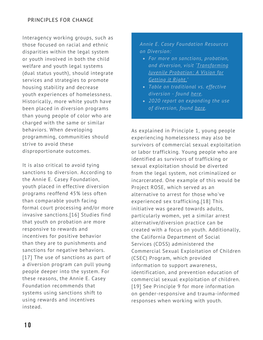Interagency working groups, such as those focused on racial and ethnic disparities within the legal system or youth involved in both the child welfare and youth legal systems (dual status youth), should integrate services and strategies to promote housing stability and decrease youth experiences of homelessness. Historically, more white youth have been placed in diversion programs than young people of color who are charged with the same or similar behaviors. When developing programming, communities should strive to avoid these disproportionate outcomes.

It is also critical to avoid tying sanctions to diversion. According to the [Annie E. Casey Foundation,](https://www.aecf.org/blog/what-is-juvenile-diversion) youth placed in effective diversion programs reoffend 45% less often than comparable youth facing formal court processing and/or more invasive sanctions.[16] Studies find that youth on probation are more responsive to rewards and incentives for positive behavior than they are to punishments and sanctions for negative behaviors. [17] The use of sanctions as part of a diversion program can pull young people deeper into the system. For these reasons, the Annie E. Casey Foundation recommends that systems using sanctions shift to using rewards and incentives instead.

# *Annie E. Casey Foundation Resources on Diversion:*

- *For more on sanctions, probation, [and diversion, visit 'Transforming](https://assets.aecf.org/m/resourcedoc/aecf-transformingjuvenileprobation-2018.pdf) Juvenile Probation: A Vision for Getting it Right*.*'*
- *Table on traditional vs. effective diversion - found [here.](https://aecf.app.box.com/s/6f0zuhvvdsu9k9a45x1zk5kg9m42emx1)*
- *2020 report on expanding the use of diversion, found [here.](https://www.aecf.org/resources/expand-the-use-of-diversion-from-the-juvenile-justice-system)*

As explained in Principle 1, young people experiencing homelessness may also be survivors of commercial sexual exploitation or labor trafficking. Young people who are identified as survivors of trafficking or sexual exploitation should be diverted from the legal system, not criminalized or incarcerated. One example of this would be [Project ROSE,](https://www.tandfonline.com/doi/abs/10.1080/10509674.2013.861323) which served as an alternative to arrest for those who've experienced sex trafficking.[18] This initiative was geared towards adults, particularly women, yet a similar arrest alternative/diversion practice can be created with a focus on youth. Additionally, the California Department of Social Services (CDSS) administered the [Commercial Sexual Exploitation of Children](https://www.cde.ca.gov/ls/ss/vp/commsexexploitationchild.asp) (CSEC) Program, which provided information to support awareness, identification, and prevention education of commercial sexual exploitation of children. [19] See Principle 9 for more information on gender-responsive and trauma-informed responses when working with youth.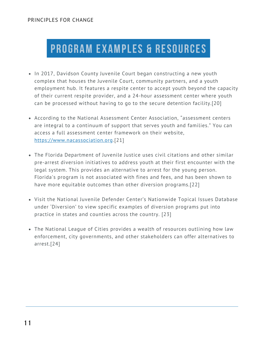- In 2017, Davidson County Juvenile Court began constructing a new youth complex that houses the Juvenile Court, community partners, and a youth [employment hub. It features a respite center to accept youth beyond the capacity](https://nlchp.org/housing-not-handcuffs/) of their current respite provider, and a 24-hour assessment center where youth can be processed without having to go to the secure detention facility.[20]
- According to the National Assessment Center Association, "assessment centers [are integral to a continuum of support that serves youth and families." You can](https://nlchp.org/housing-not-handcuffs/) access a full assessment center framework on their website, [https://www.nacassociation.org.\[21\]](https://nlchp.org/housing-not-handcuffs/)
- The Florida Department of Juvenile Justice uses civil citations and other similar [pre-arrest diversion initiatives to address youth at their first encounter with the](https://nlchp.org/housing-not-handcuffs/) legal system. This provides an alternative to arrest for the young person. Florida's program is not associated with fines and fees, and has been shown to have more equitable outcomes than other diversion programs[.\[](https://nlchp.org/housing-not-handcuffs/)22]
- [Visit the National Juvenile Defender Center's Nationwide Topical Issues Database](https://nlchp.org/housing-not-handcuffs/) under 'Diversion' to view specific examples of diversion programs put into practice in states and counties across the country. [23]
- The National League of Cities provides a wealth of resources outlining how law [enforcement, city governments, and other stakeholders can offer alternatives to](https://nlchp.org/housing-not-handcuffs/) arrest.[24]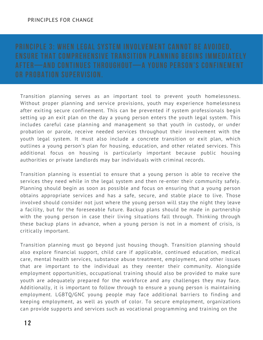Transition planning serves as an important tool to prevent youth homelessness. Without proper planning and service provisions, youth may experience homelessness after exiting secure confinement. This can be prevented if system professionals begin setting up an exit plan on the day a young person enters the youth legal system. This includes careful case planning and management so that youth in custody, or under probation or parole, receive needed services throughout their involvement with the youth legal system. It must also include a concrete transition or exit plan, which outlines a young person's plan for housing, education, and other related services. This additional focus on housing is particularly important because public housing authorities or private landlords may bar individuals with criminal records.

Transition planning is essential to ensure that a young person is able to receive the services they need while in the legal system and then re-enter their community safely. Planning should begin as soon as possible and focus on ensuring that a young person obtains appropriate services and has a safe, secure, and stable place to live. Those involved should consider not just where the young person will stay the night they leave a facility, but for the foreseeable future. Backup plans should be made in partnership with the young person in case their living situations fall through. Thinking through these backup plans in advance, when a young person is not in a moment of crisis, is critically important.

Transition planning must go beyond just housing though. Transition planning should also explore financial support, child care if applicable, continued education, medical care, mental health services, substance abuse treatment, employment, and other issues that are important to the individual as they reenter their community. Alongside employment opportunities, occupational training should also be provided to make sure youth are adequately prepared for the workforce and any challenges they may face. Additionally, it is important to follow through to ensure a young person is maintaining employment. LGBTQ/GNC young people may face additional barriers to finding and keeping employment, as well as youth of color. To secure employment, organizations can provide supports and services such as vocational programming and training on the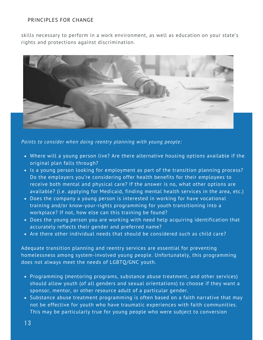skills necessary to perform in a work environment, as well as education on your state's rights and protections against discrimination.



*Points to consider when doing reentry planning with young people:*

- Where will a young person live? Are there alternative housing options available if the original plan falls through?
- Is a young person looking for employment as part of the transition planning process? Do the employers you're considering offer health benefits for their employees to receive both mental and physical care? If the answer is no, what other options are available? (i.e. applying for Medicaid, finding mental health services in the area, etc.)
- Does the company a young person is interested in working for have vocational training and/or know-your-rights programming for youth transitioning into a workplace? If not, how else can this training be found?
- Does the young person you are working with need help acquiring identification that accurately reflects their gender and preferred name?
- Are there other individual needs that should be considered such as child care?

Adequate transition planning and reentry services are essential for preventing homelessness among system-involved young people. Unfortunately, this programming does not always meet the needs of LGBTQ/GNC youth.

- Programming (mentoring programs, substance abuse treatment, and other services) should allow youth (of all genders and sexual orientations) to choose if they want a sponsor, mentor, or other resource adult of a particular gender.
- Substance abuse treatment programming is often based on a faith narrative that may not be effective for youth who have traumatic experiences with faith communities. This may be particularly true for young people who were subject to conversion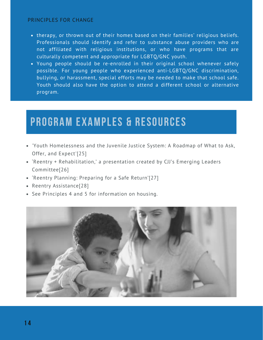- therapy, or thrown out of their homes based on their families' religious beliefs. Professionals should identify and refer to substance abuse providers who are not affiliated with religious institutions, or who have programs that are culturally competent and appropriate for LGBTQ/GNC youth.
- Young people should be re-enrolled in their original school whenever safely possible. For young people who experienced anti-LGBTQ/GNC discrimination, bullying, or harassment, special efforts may be needed to make that school safe. Youth should also have the option to attend a different school or alternative program.

- ['Youth Homelessness and the Juvenile Justice System: A Roadmap of What to Ask,](https://www.cga.ct.gov/2016/act/pa/pdf/2016PA-00147-R00HB-05642-PA.pdf) Offer, and Expect'[25]
- ['Reentry + Rehabilitation,' a presentation created by CJJ's Emerging Leaders](https://www.cga.ct.gov/2016/act/pa/pdf/2016PA-00147-R00HB-05642-PA.pdf) Committee[26]
- ['Reentry Planning: Preparing for a Safe Return'\[](https://www.cga.ct.gov/2016/act/pa/pdf/2016PA-00147-R00HB-05642-PA.pdf)27]
- [Reentry Assistance\[](https://www.cga.ct.gov/2016/act/pa/pdf/2016PA-00147-R00HB-05642-PA.pdf)28]
- [See Principles 4 and 5 for information on housing.](https://www.cga.ct.gov/2016/act/pa/pdf/2016PA-00147-R00HB-05642-PA.pdf)

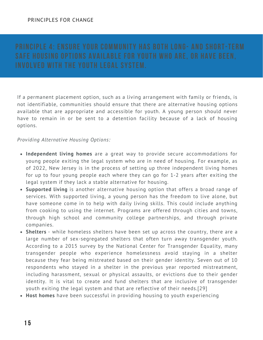If a permanent placement option, such as a living arrangement with family or friends, is not identifiable, communities should ensure that there are alternative housing options available that are appropriate and accessible for youth. A young person should never have to remain in or be sent to a detention facility because of a lack of housing options.

## *Providing Alternative Housing Options:*

- **Independent living homes** are a great way to provide secure accommodations for young people exiting the legal system who are in need of housing. For example, as of 2022, New Jersey is in the process of setting up three independent living homes for up to four young people each where they can go for 1-2 years after exiting the legal system if they lack a stable alternative for housing.
- **Supported living** is another alternative housing option that offers a broad range of services. With supported living, a young person has the freedom to live alone, but have someone come in to help with daily living skills. This could include anything from cooking to using the internet. Programs are offered through cities and towns, through high school and community college partnerships, and through private companies.
- **Shelters**  while homeless shelters have been set up across the country, there are a large number of sex-segregated shelters that often turn away transgender youth. According to a 2015 [survey](https://www.ustranssurvey.org/) by the National Center for Transgender Equality, many transgender people who experience homelessness avoid staying in a shelter because they fear being mistreated based on their gender identity. Seven out of 10 respondents who stayed in a shelter in the previous year reported mistreatment, including harassment, sexual or physical assaults, or evictions due to their gender identity. It is vital to create and fund shelters that are inclusive of transgender youth exiting the legal system and that are reflective of their needs.[29]
- **Host homes** [have been successful in providing housing to youth experiencing](https://nlchp.org/housing-not-handcuffs/)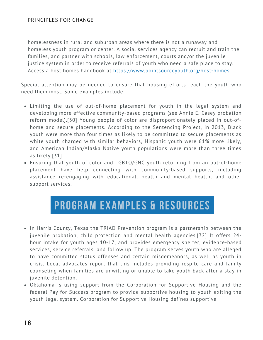[homelessness in rural and suburban areas where there is not a runaway and](https://nlchp.org/housing-not-handcuffs/) [homeless youth program or center. A social services agency can recruit and train the](https://nlchp.org/housing-not-handcuffs/) [families, and partner with schools, law enforcement, courts and/or the juvenile](https://nlchp.org/housing-not-handcuffs/) [justice system in order to receive referrals of youth who need a safe place to stay.](https://nlchp.org/housing-not-handcuffs/) Access a host homes handbook at <https://www.pointsourceyouth.org/host-homes>.

Special attention may be needed to ensure that housing efforts reach the youth who need them most. Some examples include:

- Limiting the use of out-of-home placement for youth in the legal system and [developing more effective community-based programs \(see Annie E. Casey probation](https://assets.aecf.org/m/resourcedoc/aecf-transformingjuvenileprobation-2018.pdf) reform model).[30] Young people of color are disproportionately placed in out-ofhome and secure placements. According to the Sentencing Project, in 2013, Black youth were more than four times as likely to be committed to secure placements as white youth charged with similar behaviors, Hispanic youth were 61% more likely, and American Indian/Alaska Native youth populations were more than three times as likely.[31]
- Ensuring that youth of color and LGBTQ/GNC youth returning from an out-of-home placement have help connecting with community-based supports, including assistance re-engaging with educational, health and mental health, and other support services.

- In Harris County, Texas the TRIAD Prevention program is a partnership between the [juvenile probation, child protection and mental health agencies.\[32\] It offers 24](https://nlchp.org/housing-not-handcuffs/) [hour intake for youth ages 10-17, and provides emergency shelter, evidence-based](https://nlchp.org/housing-not-handcuffs/) services, service referrals, and follow up. The program serves youth who are alleged to have committed status offenses and certain misdemeanors, as well as youth in crisis. Local advocates report that this includes providing respite care and family counseling when families are unwilling or unable to take youth back after a stay in juvenile detention.
- Oklahoma is using support from the Corporation for Supportive Housing and the [federal Pay for Success program to provide supportive housing to youth exiting the](http://bit.ly/2lirh3j) youth legal system[.](http://bit.ly/2lirh3j) [Corporation for Supportive Housing defines](http://bit.ly/2lirh3j) supportive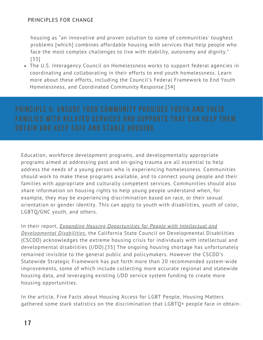housing as "an innovative and proven solution to some of communities' toughest [problems \[which\] combines affordable housing with services that help people who](http://bit.ly/2lirh3j) face the most complex challenges to live with stability, autonomy and dignity." [33]

[The U.S. Interagency Council on Homelessness works to support federal agencies in](http://bit.ly/2kKBAK2) coordinating and collaborating in their efforts to end youth homelessness. Learn more about these efforts, including the Council's Federal Framework to End Youth Homelessness, and Coordinated Community Response.[34]

Education, workforce development programs, and developmentally appropriate programs aimed at addressing past and on-going trauma are all essential to help address the needs of a young person who is experiencing homelessness. Communities should work to make these programs available, and to connect young people and their families with appropriate and culturally competent services. Communities should also share information on housing rights to help young people understand when, for example, they may be experiencing discrimination based on race, or their sexual orientation or gender identity. This can apply to youth with disabilities, youth of color, LGBTQ/GNC youth, and others.

In their report, *[Expanding Housing Opportunities for People with Intellectual and](https://scdd.ca.gov/wp-content/uploads/sites/33/2018/12/STATEWIDE-STRATEGIC-FRAMEWORK-FOR-EXPANDING-HOUSING-OPPORTUNITIES-FOR-PEOPLE-WITH-INTELLECTUAL-AND-DEVELOPMENTAL-DISABILITIES-10.16.pdf) Developmental Disabilities*, the California State Council on Developmental Disabilities (CSCDD) acknowledges the extreme housing crisis for individuals with intellectual and developmental disabilities (I/DD).[35] The ongoing housing shortage has unfortunately remained invisible to the general public and policymakers. However the CSCDD's Statewide Strategic Framework has put forth more than 20 recommended system-wide improvements, some of which include collecting more accurate regional and statewide housing data, and leveraging existing I/DD service system funding to create more housing opportunities.

In the article, [Five Facts about Housing Access for LGBT People,](https://housingmatters.urban.org/articles/five-facts-about-housing-access-lgbt-people) Housing Matters gathered some stark statistics on the discrimination that LGBTQ+ people face in obtain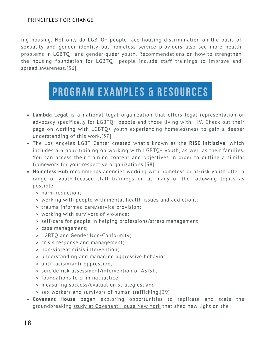ing housing. Not only do LGBTQ+ people face housing discrimination on the basis of sexuality and gender identity but homeless service providers also see more health problems in LGBTQ+ and gender-queer youth. Recommendations on how to strengthen the housing foundation for LGBTQ+ people include staff trainings to improve and spread awareness.[36]

- **Lambda Legal** is a national legal organization that offers legal representation or advocacy specifically for LGBTQ+ people and those living with HIV. Check out their page on working with LGBTQ+ youth experiencing homelessness to gain a deeper understanding of this work.[37]
- The Los Angeles LGBT Center created what's known as the **RISE Initiative**, which includes a 6 hour training on working with LGBTQ+ youth, as well as their families. You can access their training content and objectives in order to outline a similar framework for your respective organizations.[38]
- **Homeless Hub** recommends agencies working with homeless or at-risk youth offer a range of youth-focused [staff trainings](https://www.homelesshub.ca/toolkit/staff-training) on as many of the following topics as possible:
	- harm reduction;
	- working with people with mental health issues and addictions;
	- trauma informed care/service provision;
	- working with survivors of violence;
	- o self-care for people in helping professions/stress management;
	- case management;
	- LGBTQ and Gender Non-Conformity;
	- crisis response and management;
	- non-violent crisis intervention;
	- understanding and managing aggressive behavior;
	- anti-racism/anti-oppression;
	- suicide risk assessment/intervention or ASIST;
	- foundations to criminal justice;
	- measuring success/evaluation strategies; and
	- sex workers and survivors of human trafficking.[39]
- **Covenant House** began exploring opportunities to replicate and scale the groundbreaking [study at Covenant House New York](https://humantraffickinghotline.org/sites/default/files/Homelessness%2C%20Survival%20Sex%2C%20and%20Human%20Trafficking%20-%20Covenant%20House%20NY.pdf) that shed new light on the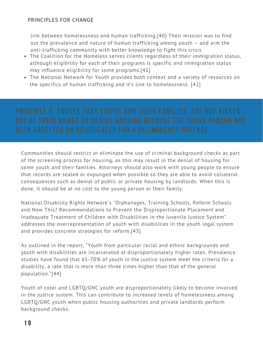[link between homelessness and human trafficking.\[40\] Their mission was to find](http://bit.ly/2lirh3j) out the prevalence and nature of human trafficking among youth – and arm the anti-trafficking community with better knowledge to fight this crisis.

- [The Coalition for the Homeless serves clients regardless of their immigration status,](http://bit.ly/2lirh3j) although eligibility for each of their programs is specific and immigration status may influence eligibility for some programs.[41]
- [The National Network for Youth provides both context and a variety of resources on](http://bit.ly/2lirh3j) the specifics of human trafficking and it's link to homelessness. [42]

Communities should restrict or eliminate the use of criminal background checks as part of the screening process for housing, as this may result in the denial of housing for some youth and their families. Attorneys should also work with young people to ensure that records are sealed or expunged when possible so they are able to avoid collateral consequences such as denial of public or private housing by landlords. When this is done, it should be at no cost to the young person or their family.

[National Disability Rights Network's "Orphanages, Training Schools, Reform Schools](http://bit.ly/1QNG1NB) and Now This? Recommendations to Prevent the Disproportionate Placement and Inadequate Treatment of Children with Disabilities in the Juvenile Justice System" addresses the overrepresentation of youth with disabilities in the youth legal system and provides concrete strategies for reform.[43]

As outlined in the report, "Youth from particular racial and ethnic backgrounds and youth with disabilities are incarcerated at disproportionately higher rates. Prevalence studies have found that 65-70% of youth in the justice system meet the criteria for a disability, a rate that is more than three times higher than that of the general population."[44]

Youth of color and LGBTQ/GNC youth are disproportionately likely to become involved in the justice system. This can contribute to increased levels of homelessness among LGBTQ/GNC youth when public housing authorities and private landlords perform background checks.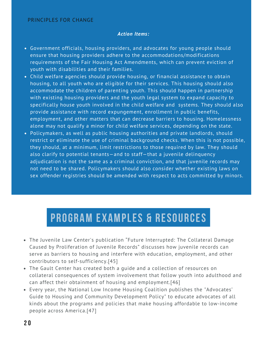### *Action Items:*

- Government officials, housing providers, and advocates for young people should ensure that housing providers adhere to the accommodations/modifications requirements of the Fair Housing Act Amendments, which can prevent eviction of youth with disabilities and their families.
- Child welfare agencies should provide housing, or financial assistance to obtain housing, to all youth who are eligible for their services. This housing should also accommodate the children of parenting youth. This should happen in partnership with existing housing providers and the youth legal system to expand capacity to specifically house youth involved in the child welfare and systems. They should also provide assistance with record expungement, enrollment in public benefits, employment, and other matters that can decrease barriers to housing. Homelessness alone may not qualify a minor for child welfare services, depending on the state.
- Policymakers, as well as public housing authorities and private landlords, should restrict or eliminate the use of criminal background checks. When this is not possible, they should, at a minimum, limit restrictions to those required by law. They should also clarify to potential tenants—and to staff—that a juvenile delinquency adjudication is not the same as a criminal conviction, and that juvenile records may not need to be shared. Policymakers should also consider whether existing laws on sex offender registries should be amended with respect to acts committed by minors.

- The Juvenile Law Center's publication "Future Interrupted: The Collateral Damage Caused by Proliferation of Juvenile Records" discusses how juvenile records can serve as barriers to housing and interfere with education, employment, and other contributors to self-sufficiency.[45]
- The Gault Center has created both a guide and a collection of resources on collateral consequences of system involvement that follow youth into adulthood and can affect their obtainment of housing and employment.[46]
- Every year, the National Low Income Housing Coalition publishes the "Advocates' Guide to Housing and Community Development Policy" to educate advocates of all kinds about the programs and policies that make housing affordable to low-income people across America.[47]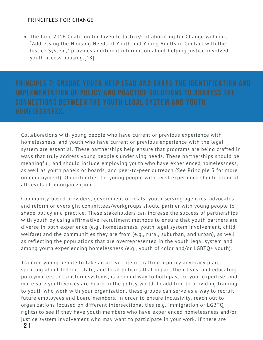[Th](http://bit.ly/2kKBAK2)e June 2016 Coalition for Juvenile Justice/Collaborating for Change webinar, "Addressing the Housing Needs of Youth and Young Adults in Contact with the [Justice System," provides additional information about helping justice-involved](http://bit.ly/2kKBAK2) youth access housing.[48]

Collaborations with young people who have current or previous experience with homelessness, and youth who have current or previous experience with the legal system are essential. These partnerships help ensure that programs are being crafted in ways that truly address young people's underlying needs. These partnerships should be meaningful, and should include employing youth who have experienced homelessness, as well as youth panels or boards, and peer-to-peer outreach (See Principle 3 for more on employment). Opportunities for young people with lived experience should occur at all levels of an organization.

Community-based providers, government officials, youth-serving agencies, advocates, and reform or oversight committees/workgroups should partner with young people to shape policy and practice. These stakeholders can increase the success of partnerships with youth by using affirmative recruitment methods to ensure that youth partners are diverse in both experience (e.g., homelessness, youth legal system involvement, child welfare) and the communities they are from (e.g., rural, suburban, and urban), as well as reflecting the populations that are overrepresented in the youth legal system and among youth experiencing homelessness (e.g., youth of color and/or LGBTQ+ youth).

Training young people to take an active role in crafting a policy advocacy plan, speaking about federal, state, and local policies that impact their lives, and educating policymakers to transform systems, is a sound way to both pass on your expertise, and make sure youth voices are heard in the policy world. In addition to providing training to youth who work with your organization, these groups can serve as a way to recruit future employees and board members. In order to ensure inclusivity, reach out to organizations focused on different intersectionalities (e.g. immigration or LGBTQ+ rights) to see if they have youth members who have experienced homelessness and/or justice system involvement who may want to participate in your work. If there are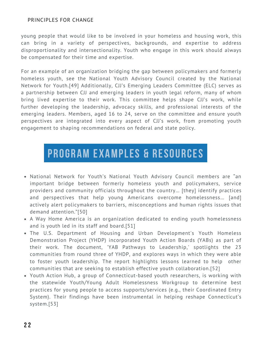young people that would like to be involved in your homeless and housing work, this can bring in a variety of perspectives, backgrounds, and expertise to address disproportionality and intersectionality. Youth who engage in this work should always be compensated for their time and expertise.

For an example of an organization bridging the gap between policymakers and formerly homeless youth, see the [National Youth Advisory Council](https://nn4youth.org/programs/nyac/) created by the National Network for Youth.[49] Additionally, CJJ's Emerging Leaders Committee (ELC) serves as a partnership between CJJ and emerging leaders in youth legal reform, many of whom bring lived expertise to their work. This committee helps shape CJJ's work, while further developing the leadership, advocacy skills, and professional interests of the emerging leaders. Members, aged 16 to 24, serve on the committee and ensure youth perspectives are integrated into every aspect of CJJ's work, from promoting youth engagement to shaping recommendations on federal and state policy.

- National Network for Youth's National Youth Advisory Council members are "an important bridge between formerly homeless youth and policymakers, service providers and community officials throughout the country… [they] identify practices and perspectives that help young Americans overcome homelessness… [and] actively alert policymakers to barriers, misconceptions and human rights issues that demand attention."[50]
- A Way Home America is an organization dedicated to ending youth homelessness and is youth led in its staff and board.[51]
- The U.S. Department of Housing and Urban Development's Youth Homeless Demonstration Project (YHDP) incorporated [Youth Action Boards \(YABs\)](https://www.hudexchange.info/resource/6276/youth-action-board-pathways-to-leadership/) as part of their work. The document, '[YAB Pathways to Leadership,](https://www.hudexchange.info/resource/6276/youth-action-board-pathways-to-leadership/)' spotlights the 23 communities from round three of YHDP, and explores ways in which they were able to foster youth leadership. The report highlights lessons learned to help other communities that are seeking to establish effective youth collaboration.[52]
- Youth Action Hub, a group of Connecticut-based youth researchers, is working with the statewide Youth/Young Adult Homelessness Workgroup to determine best practices for young people to access supports/services (e.g., their Coordinated Entry System). Their findings have been instrumental in helping reshape Connecticut's system.[53]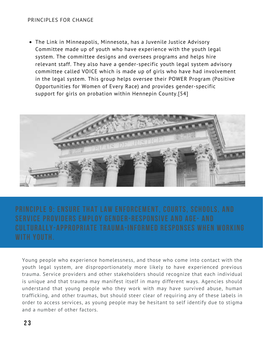The Link in Minneapolis, Minnesota, has a Juvenile Justice Advisory Committee made up of youth who have experience with the youth legal system. The committee designs and oversees programs and helps hire relevant staff. They also have a gender-specific youth legal system advisory committee called VOICE which is made up of girls who have had involvement in the legal system. This group helps oversee their POWER Program (Positive Opportunities for Women of Every Race) and provides gender-specific support for girls on probation within Hennepin County.[54]



Young people who experience homelessness, and those who come into contact with the youth legal system, are disproportionately more likely to have experienced previous trauma. Service providers and other stakeholders should recognize that each individual is unique and that trauma may manifest itself in many different ways. Agencies should understand that young people who they work with may have survived abuse, human trafficking, and other traumas, but should steer clear of requiring any of these labels in order to access services, as young people may be hesitant to self identify due to stigma and a number of other factors.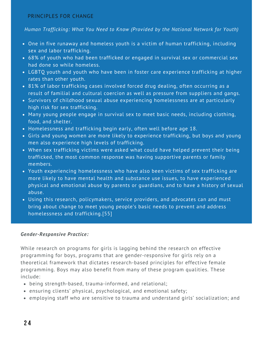## *[Human Trafficking: What You Need to Know \(Provided by the National Network for Youth\)](https://nn4youth.org/learn/human-trafficking/)*

- One in five runaway and homeless youth is a victim of human trafficking, including sex and labor trafficking.
- 68% of youth who had been trafficked or engaged in survival sex or commercial sex had done so while homeless.
- LGBTQ youth and youth who have been in foster care experience trafficking at higher rates than other youth.
- 81% of labor trafficking cases involved forced drug dealing, often occurring as a result of familial and cultural coercion as well as pressure from suppliers and gangs.
- Survivors of childhood sexual abuse experiencing homelessness are at particularly high risk for sex trafficking.
- Many young people engage in survival sex to meet basic needs, including clothing, food, and shelter.
- Homelessness and trafficking begin early, often well before age 18.
- Girls and young women are more likely to experience trafficking, but boys and young men also experience high levels of trafficking.
- When sex trafficking victims were asked what could have helped prevent their being trafficked, the most common response was having supportive parents or family members.
- Youth experiencing homelessness who have also been victims of sex trafficking are more likely to have mental health and substance use issues, to have experienced physical and emotional abuse by parents or guardians, and to have a history of sexual abuse.
- Using this research, policymakers, service providers, and advocates can and must bring about change to meet young people's basic needs to prevent and address homelessness and trafficking.[55]

### *Gender-Responsive Practice:*

While research on programs for girls is lagging behind the research on effective programming for boys, programs that are gender-responsive for girls rely on a theoretical framework that dictates research-based principles for effective female programming. Boys may also benefit from many of these program qualities. These include:

- being strength-based, trauma-informed, and relational;
- ensuring clients' physical, psychological, and emotional safety;
- employing staff who are sensitive to trauma and understand girls' socialization; and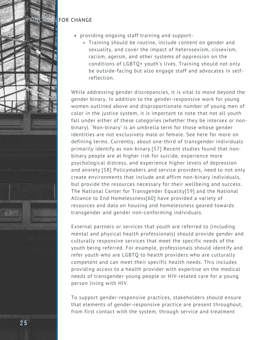

- providing ongoing staff training and support-
	- Training should be routine, include content on gender and sexuality, and cover the impact of heterosexism, cissexism, racism, ageism, and other systems of oppression on the conditions of LGBTQ+ youth's lives. Training should not only be outside-facing but also engage staff and advocates in selfreflection.

While addressing gender discrepancies, it is vital to move beyond the gender binary. In addition to the gender-responsive work for young women outlined above and disproportionate number of young men of color in the justice system, it is important to note that not all youth fall under either of these categories (whether they be intersex or nonbinary). 'Non-binary' is an umbrella term for those whose gender identities are not exclusively male or female. See [here](https://cecs.anu.edu.au/about/diversity-engineering-computer-science/diversity-inclusion-blogs/explainer-intersex-nonbinary) for more on defining terms. Currently, about one-third of transgender individuals primarily identify as non-binary.[57] Recent studies found that nonbinary people are at higher risk for suicide, experience more psychological distress, and experience higher levels of depression and anxiety.[58] Policymakers and service providers, need to not only create environments that include and affirm non-binary individuals, but provide the resources necessary for their wellbeing and success. [The](https://endhomelessness.org/trans-and-gender-non-conforming-homelessness/) [National Center for Transgender Equality](https://transequality.org/issues/housing-homelessness)[\[59\] and the National](https://endhomelessness.org/trans-and-gender-non-conforming-homelessness/) Alliance to End Homelessness[60] have provided a variety of resources and data on housing and homelessness geared towards transgender and gender non-conforming individuals.

External partners or services that youth are referred to (including mental and physical health professionals) should provide gender and culturally responsive services that meet the specific needs of the youth being referred. For example, professionals should identify and refer youth who are LGBTQ to health providers who are culturally competent and can meet their specific health needs. This includes providing access to a health provider with expertise on the medical needs of transgender young people or HIV-related care for a young person living with HIV.

To support gender-responsive practices, stakeholders should ensure that elements of gender-responsive practice are present throughout, from first contact with the system, through service and treatment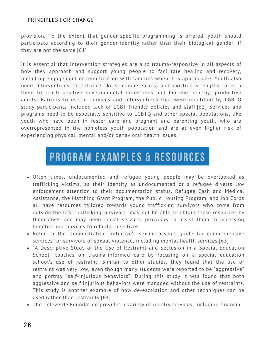provision. To the extent that gender-specific programming is offered, youth should participate according to their gender-identity rather than their biological gender, if they are not the same.[61]

It is essential that intervention strategies are also trauma-responsive in all aspects of how they approach and support young people to facilitate healing and recovery, including engagement or reunification with families when it is appropriate. Youth also need interventions to enhance skills, competencies, and existing strengths to help them to reach positive developmental milestones and become healthy, productive adults. Barriers to use of services and interventions that were identified by LGBTQ study participants included lack of LGBT-friendly policies and staff.[62] Services and programs need to be especially sensitive to LGBTQ and other special populations, like youth who have been in foster care and pregnant and parenting youth, who are overrepresented in the homeless youth population and are at even higher risk of experiencing physical, mental and/or behavioral health issues.

- Often times, undocumented and refugee young people may be overlooked as trafficking victims, as their identity as undocumented or a refugee diverts law enforcement attention to their documentation status. Refugee Cash and Medical Assistance, the Matching Grant Program, the Public Housing Program, and Job Corps all have resources tailored towards young trafficking survivors who come from outside the U.S. Trafficking survivors may not be able to obtain these resources by themselves and may need social services providers to assist them in accessing benefits and services to rebuild their lives.
- Refer to the Demonstration Initiative's sexual assault guide for comprehensive services for survivors of sexual violence, including mental health services.[63]
- "A Descriptive Study of the Use of Restraint and Seclusion in a Special Education [School" touches on trauma-informed care by focusing on a special education](https://link.springer.com/article/10.1007/s10566-011-9165-3) school's use of restraint. Similar to other studies, they found that the use of restraint was very low, even though many students were reported to be "aggressive" and portray "self-injurious behaviors". During this study it was found that both aggressive and self injurious behaviors were managed without the use of restraints. This study is another example of how de-escalation and other techniques can be used rather than restraints.[64]
- The [Televerde Foundation](https://televerdefoundation.org/) provides a variety of reentry services, including financial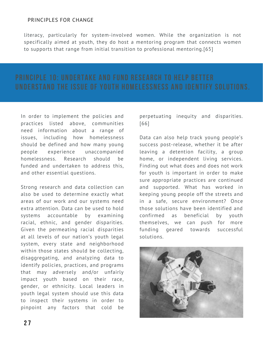literacy, particularly for system-involved women. While the organization is not specifically aimed at youth, they do host a mentoring program that connects women to supports that range from initial transition to professional mentoring.[65]

In order to implement the policies and practices listed above, communities need information about a range of issues, including how homelessness should be defined and how many young people experience unaccompanied homelessness. Research should be funded and undertaken to address this, and other essential questions.

Strong research and data collection can also be used to determine exactly what areas of our work and our systems need extra attention. Data can be used to hold systems accountable by examining racial, ethnic, and gender disparities. Given the permeating racial disparities at all levels of our nation's youth legal system, every state and neighborhood within those states should be collecting, disaggregating, and analyzing data to identify policies, practices, and programs that may adversely and/or unfairly impact youth based on their race, gender, or ethnicity. Local leaders in youth legal system should use this data to inspect their systems in order to pinpoint any factors that cold be

perpetuating inequity and disparities. [66]

Data can also help track young people's success post-release, whether it be after leaving a detention facility, a group home, or independent living services. Finding out what does and does not work for youth is important in order to make sure appropriate practices are continued and supported. What has worked in keeping young people off the streets and in a safe, secure environment? Once those solutions have been identified and confirmed as beneficial by youth themselves, we can push for more funding geared towards successful solutions.

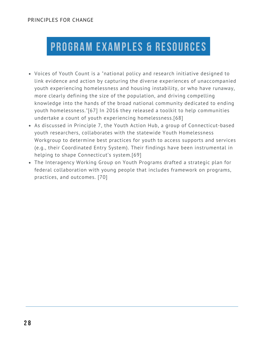- Voices of Youth Count is a "national policy and research initiative designed to [link evidence and action by capturing the diverse experiences of unaccompanied](https://nlchp.org/housing-not-handcuffs/) youth experiencing homelessness and housing instability, or who have runaway, more clearly defining the size of the population, and driving compelling knowledge into the hands of the broad national community dedicated to ending youth homelessness."[67] In 2016 they released a toolkit to help communities undertake a count of youth experiencing homelessness.[68]
- [As discussed in Principle 7, the Youth Action Hub, a group of Connecticut-based](https://nlchp.org/housing-not-handcuffs/) youth researchers, collaborates with the statewide Youth Homelessness [Workgroup to determine best practices for youth to access supports and services](https://nlchp.org/housing-not-handcuffs/) (e.g., their Coordinated Entry System). Their findings have been instrumental in helping to shape Connecticut's system.[69]
- The Interagency Working Group on Youth Programs drafted a strategic plan for federal collaboration with young people that includes framework on programs, practices, and outcomes. [70]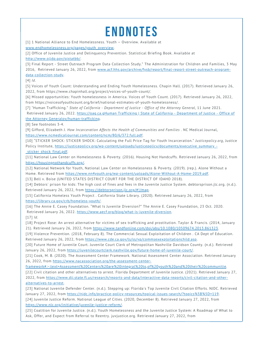# **E N D N O T E S**

[1] 1 National Alliance to End Homelessness. Youth - Overview. Available at

[www.endhomelessness.org/pages/youth\\_overview.](http://www.endhomelessness.org/pages/youth_overview)

[2] Office of Juvenile Justice and Delinquency Prevention. Statistical Briefing Book. Available at <http://www.ojjdp.gov/ojstatbb/>.

[\[3\] Final Report - Street Outreach Program Data Collection Study." The Administration for Children and Families, 3 May](https://nlchp.org/housing-not-handcuffs/) [2016,](http://www.acf.hhs.gov/archive/fysb/report/final-report-street-outreach-program-data-collection-study) [Retrieved January 26, 2022, from](https://nlchp.org/housing-not-handcuffs/) [www.acf.hhs.gov/archive/fysb/report/final-report-street-outreach-program](http://www.acf.hhs.gov/archive/fysb/report/final-report-street-outreach-program-data-collection-study)data-collection-study[.](https://nlchp.org/housing-not-handcuffs/)

[4] *Id.*

[5] Voices of Youth Count: Understanding and Ending Youth Homelessness. Chapin Hall. (2017). Retrieved January 26, 2022, from https://www.chapinhall.org/project/voices-of-youth-count/.

[6] Missed opportunities: Youth homelessness in America. Voices of Youth Count. (2017). Retrieved January 26, 2022, from https://voicesofyouthcount.org/brief/national-estimates-of-youth-homelessness/.

[7] "Human Trafficking." *State of California - Department of Justice - Office of the Attorney General*, 11 June 2021.

[Retrieved January 26, 2022. https://oag.ca.gHuman Trafficking | State of California - Department of Justice - Office of](https://oag.ca.gov/human-trafficking) the Attorney Generalov/human-trafficking.

[8] See footnotes 3-4.

[9] Gifford, Elizabeth J. *How Incarceration Affects the Health of Communities and Families* . NC Medical Journal, <https://www.ncmedicaljournal.com/content/ncm/80/6/372.full.pdf>.

[10] "STICKER SHOCK: STICKER SHOCK: Calculating the Full Price Tag for Youth Incarceration." *Justicepolicy.org*, Justice [Policy Institute, https://justicepolicy.org/wp-content/uploads/justicepolicy/documents/executive\\_summary\\_](https://justicepolicy.org/wp-content/uploads/justicepolicy/documents/executive_summary_-_sticker_shock_final.pdf) sticker shock final.pdf.

[11] National Law Center on Homelessness & Poverty. (2016). Housing Not Handcuffs. Retrieved January 26, 2022, from [https://housingnothandcuffs.org/.](https://housingnothandcuffs.org/)

[12] National Network for Youth, National Law Center on Homelessness & Poverty. (2019). (rep.). Alone Without a Home. Retrieved from <https://www.nn4youth.org/wp-content/uploads/Alone-Without-A-Home-2019.pdf>.

[13] Bell v. Boise (UNITED STATES DISTRICT COURT FOR THE DISTRICT OF IDAHO 2018).

[14] Debtors' prison for kids: The high cost of fines and fees in the Juvenile Justice System. debtorsprison.jlc.org. (n.d.). Retrieved January 26, 2022, from [https://debtorsprison.jlc.org/#!/map.](https://debtorsprison.jlc.org/#!/map)

[15] California Homeless Youth Project . California State Library. (2020). Retrieved January 26, 2022, from <https://library.ca.gov/crb/homeless-youth/>.

[16] The Annie E. Casey Foundation. "What Is Juvenile Diversion?" The Annie E. Casey Foundation, 23 Oct. 2020. Retrieved January 26, 2022. <https://www.aecf.org/blog/what-is-juvenile-diversion>.

[17] *Id.*

[18] Project Rose: An arrest alternative for victims of sex trafficking and prostitution. Taylor & Francis. (2014, January 21). Retrieved January 26, 2022, from [https://www.tandfonline.com/doi/abs/10.1080/10509674.2013.861323.](https://www.tandfonline.com/doi/abs/10.1080/10509674.2013.861323)

[19] Violence Prevention. (2018, February 8). The Commercial Sexual Exploitation of Children . CA Dept of Education. Retrieved January 26, 2022, from <https://www.cde.ca.gov/ls/ss/vp/commsexexploitationchild.asp>.

[20] Future Home of Juvenile Court. Juvenile Court Clerk of Metropolitan Nashville Davidson County. (n.d.). Retrieved January 26, 2022, from <https://juvenilecourtclerk.nashville.gov/future-home-of-juvenile-court/>.

[21] Cook, M. B. (2020). The Assessment Center Framework. National Assessment Center Association. Retrieved January 26, 2022, from https://www.nacassociation.org/the-assessment-center-

[framework#:~:text=Assessment%20Centers%20are%20integral%20to,of%20youth%20and%20their%20communitie](https://www.nacassociation.org/the-assessment-center-framework#:~:text=Assessment%20Centers%20are%20integral%20to,of%20youth%20and%20their%20communitie).

[22] Civil citation and other alternatives to arrest. Florida Department of Juvenile Justice. (2021). Retrieved January 27, [2022, from https://www.djj.state.fl.us/research/reports-and-data/interactive-data-reports/civil-citation-and-other](https://www.djj.state.fl.us/research/reports-and-data/interactive-data-reports/civil-citation-and-other-alternatives-to-arrest)alternatives-to-arrest.

[23] National Juvenile Defender Center. (n.d.). Stepping up: Florida's Top Juvenile Civil Citation Efforts. NJDC. Retrieved January 27, 2022, from [https://njdc.info/practice-policy-resources/topical-issues-search/?topics%5B%5D=119.](https://njdc.info/practice-policy-resources/topical-issues-search/?topics%5B%5D=119)

[24] Juvenile Justice Reform. National League of Cities. (2020, December 8). Retrieved January 27, 2022, from [https://www.nlc.org/initiative/juvenile-justice-reform/.](https://www.nlc.org/initiative/juvenile-justice-reform/)

[25] Coalition for Juvenile Justice. (n.d.). Youth Homelessness and the Juvenile Justice System: A Roadmap of What to Ask, Offer, and Expect from Referral to Reentry. juvjustice.org. Retrieved January 27, 2022, from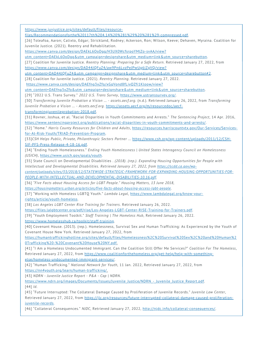https://www.juvjustice.org/sites/default/files/resource-

[files/Recommendationsforthe%20117th%204.14%20%281%29%20%281%29-compressed.pdf](https://www.juvjustice.org/sites/default/files/resource-files/Recommendationsforthe%20117th%204.14%20%281%29%20%281%29-compressed.pdf).

[26] Toleafoa, Aaron; Calixto, Edgar; Strickland, Rodney; Ackerson, Ron; Wilson, Keeve; Dehaven, Myraina. Coalition for Juvenile Justice. (2021). Reentry and Rehabilitation.

https://www.canva.com/design/DAEkL6OoDgg/H3UX0WcfsrpoYMlZo-svAA/view?

[utm\\_content=DAEkL6OoDgg&utm\\_campaign=designshare&utm\\_medium=link&utm\\_source=sharebutton.](https://www.canva.com/design/DAEkL6OoDgg/H3UX0WcfsrpoYMlZo-svAA/view?utm_content=DAEkL6OoDgg&utm_campaign=designshare&utm_medium=link&utm_source=sharebutton)

[27] Coalition for Juvenile Justice. *Reentry Planning: Preparing for a Safe Return.* Retrieved January 27, 2022, from https://www.canva.com/design/DAD44JQFuZ4/aw9Pn6LvzPeJPwUg6iZgVQ/view?

utm\_content=DAD44JOFuZ4&utm\_campaign=designshare&utm\_medium=link&utm\_source=sharebutton#2.

[28] Coalition for Juvenile Justice. (2021). *Reentry Planning.* Retrieved January 27, 2022.

https://www.canva.com/design/DAEfng3xZfo/xGqVond8fLiyQZfi1Kloow/view?

[utm\\_content=DAEfng3xZfo&utm\\_campaign=designshare&utm\\_medium=link&utm\\_source=sharebutton.](https://www.canva.com/design/DAEfng3xZfo/xGqVond8fLiyQZfi1Kloow/view?utm_content=DAEfng3xZfo&utm_campaign=designshare&utm_medium=link&utm_source=sharebutton)

[29] "2022 U.S. Trans Survey." *2022 U.S. Trans Survey*, <https://www.ustranssurvey.org/>.

[30] *Transforming Juvenile Probation a Vision ... - assets.aecf.org*. (n.d.). Retrieved January 26, 2022, from *Transforming Juvenile Probation a Vision ... - Assets.aecf.org*[. https://assets.aecf.org/m/resourcedoc/aecf-](https://assets.aecf.org/m/resourcedoc/aecf-transformingjuvenileprobation-2018.pdf)

transformingjuvenileprobation-2018.pdf.

[31] Rovner, Joshua, et al. "Racial Disparities in Youth Commitments and Arrests." *The Sentencing Project*, 14 Apr. 2016, [https://www.sentencingproject.org/publications/racial-disparities-in-youth-commitments-and-arrests/.](https://www.sentencingproject.org/publications/racial-disparities-in-youth-commitments-and-arrests/)

[32] "Home." *Harris County Resources for Children and Adults*[, https://resources.harriscountytx.gov/Our-Services/Services](https://resources.harriscountytx.gov/Our-Services/Services-for-At-Risk-Youth/TRIAD-Prevention-Program)for-At-Risk-Youth/TRIAD-Prevention-Program.

[33]*[CSH Helps Public, Private, Philanthropic Sectors Partner ...](https://www.csh.org/wp-content/uploads/2011/12/CSH-SIF-PFS-Press-Release-4-18-16.pdf)* https://www.csh.org/wp-content/uploads/2011/12/CSH-SIF-PFS-Press-Release-4-18-16.pdf.

[34] "Ending Youth Homelessness." *Ending Youth Homelessness | United States Interagency Council on Homelessness (USICH)*, <https://www.usich.gov/goals/youth>.

[35] State Council on Developmental Disabilities . *(2018). (rep.). Expanding Housing Opportunities for People with Intellectual and Developmental Disabilities. Retrieved January 27, 2022, from https://scdd.ca.gov/wp-*

*[content/uploads/sites/33/2018/12/STATEWIDE-STRATEGIC-FRAMEWORK-FOR-EXPANDING-HOUSING-OPPORTUNITIES-FOR-](https://scdd.ca.gov/wp-content/uploads/sites/33/2018/12/STATEWIDE-STRATEGIC-FRAMEWORK-FOR-EXPANDING-HOUSING-OPPORTUNITIES-FOR-PEOPLE-WITH-INTELLECTUAL-AND-DEVELOPMENTAL-DISABILITIES-10.16.pdf)PEOPLE-WITH-INTELLECTUAL-AND-DEVELOPMENTAL-DISABILITIES-10.16.pdf.*

[36] *"Five Facts about Housing Access for LGBT People." Housing Matters, 13 June 2018,*

*[https://housingmatters.urban.org/articles/five-facts-about-housing-access-lgbt-people.](https://housingmatters.urban.org/articles/five-facts-about-housing-access-lgbt-people)*

[\[37\] "Working with Homeless LGBTQ Youth."](https://www.lambdalegal.org/know-your-rights/article/youth-homeless) *Lambda Legal*, https://www.lambdalegal.org/know-yourrights/article/youth-homeless.

[38] *Los Angeles LGBT Center Rise Training for Trainers*. Retrieved January 26, 2022.

[https://files.lalgbtcenter.org/pdf/rise/Los-Angeles-LGBT-Center-RISE-Training-for-Trainers.pdf.](https://files.lalgbtcenter.org/pdf/rise/Los-Angeles-LGBT-Center-RISE-Training-for-Trainers.pdf)

[39] "Youth Employment Toolkit." *Staff Training | The Homeless Hub*, Retrieved January 26, 2022. [https://www.homelesshub.ca/toolkit/staff-training.](https://www.homelesshub.ca/toolkit/staff-training)

[40] Covenant House. (2013). (rep.). Homelessness, Survival Sex and Human Trafficking: As Experienced by the Youth of Covenant House New York. Retrieved January 27, 2022, from

https://humantraffickinghotline.org/sites/default/files/Homelessness%2C%20Survival%20Sex%2C%20and%20Human%2 0Trafficking%20-%20Covenant%20House%20NY.pdf.

[41] "I Am a Homeless Undocumented Immigrant. Can the Coalition Still Offer Me Services?" *Coalition For The Homeless*, [Retrieved January 27, 2022, from https://www.coalitionforthehomeless.org/get-help/help-with-something](https://www.coalitionforthehomeless.org/get-help/help-with-something-else/homeless-undocumented-immigrant-services/)else/homeless-undocumented-immigrant-services/.

[42] "Human Trafficking." *National Network for Youth*, 11 Jan. 2022, Retrieved January 27, 2022, from [https://nn4youth.org/learn/human-trafficking/.](https://nn4youth.org/learn/human-trafficking/)

[43] *NDRN - Juvenile Justice Report - P&A - Cap | NDRN*.

https://www.ndrn.org/images/Documents/Issues/Juvenile\_Justice/NDRN -\_Juvenile\_Justice\_Report.pdf.

[44] *Id.*

[45] "Future Interrupted: The Collateral Damage Caused by Proliferation of Juvenile Records." *Juvenile Law Center*, [Retrieved January 27, 2022, from https://jlc.org/resources/future-interrupted-collateral-damage-caused-proliferation](https://jlc.org/resources/future-interrupted-collateral-damage-caused-proliferation-juvenile-records)juvenile-records.

[46] "Collateral Consequences." *NJDC*, Retrieved January 27, 2022, [http://njdc.info/collateral-consequences/.](http://njdc.info/collateral-consequences/)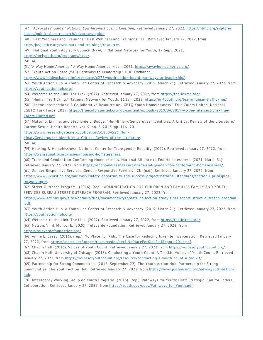[47] "Advocates' Guide." *National Low Income Housing Coalition*[, Retrieved January 27, 2022, https://nlihc.org/explore](https://nlihc.org/explore-issues/publications-research/advocates-guide)issues/publications-research/advocates-guide.

[48] "Past Webinars and Trainings." Past Webinars and Trainings | CJJ, Retrieved January 27, 2022, from [http://juvjustice.org/webinars-and-trainings/resources.](http://juvjustice.org/webinars-and-trainings/resources)

[49] "National Youth Advisory Council (NYAC)." National Network for Youth, 17 Sept. 2021,

<https://nn4youth.org/programs/nyac/>.

[50] *Id.*

[51]"A Way Home America." A Way Home America, 4 Jan. 2021, [https://awayhomeamerica.org/.](https://awayhomeamerica.org/)

[52] "Youth Action Board (YAB) Pathways to Leadership." HUD Exchange,

[https://www.hudexchange.info/resource/6276/youth-action-board-pathways-to-leadership/.](https://www.hudexchange.info/resource/6276/youth-action-board-pathways-to-leadership/)

[53] Youth Action Hub. A Youth-Led Center of Research & Advocacy. (2019, March 21). Retrieved January 27, 2022, from <https://youthactionhub.org/>.

[54] Welcome to the Link. The Link. (2022). Retrieved January 27, 2022, from <https://thelinkmn.org/>.

[55] "Human Trafficking." National Network for Youth, 11 Jan. 2022, <https://nn4youth.org/learn/human-trafficking/>.

[56] "At the Intersections: A Collaborative Resource on LGBTQ Youth Homelessness." True Colors United, National [LGBTQ Task Force, 2019, https://truecolorsunited.org/wp-content/uploads/2019/04/2019-At-the-Intersections-True-](https://truecolorsunited.org/wp-content/uploads/2019/04/2019-At-the-Intersections-True-Colors-United.pdf)Colors-United.pdf.

[57] Matsuno, Emmie, and Stephanie L. Budge. "Non-Binary/Genderqueer Identities: A Critical Review of the Literature." Current Sexual Health Reports, vol. 9, no. 3, 2017, pp. 116–20.

https://www.researchgate.net/publication/318504523\_Non-

binaryGenderqueer Identities a Critical Review of the Literature.

[58] *Id*.

[59] Housing & Homelessness. National Center for Transgender Equality. (2022). Retrieved January 27, 2022, from <https://transequality.org/issues/housing-homelessness>.

[60] Trans and Gender Non-Conforming Homelessness. National Alliance to End Homelessness. (2021, March 31). Retrieved January 27, 2022, from [https://endhomelessness.org/trans-and-gender-non-conforming-homelessness/.](https://endhomelessness.org/trans-and-gender-non-conforming-homelessness/)

[61] Gender-Responsive Services. Gender-Responsive Services | CJJ. (n.d.). Retrieved January 27, 2022, from

[https://www.juvjustice.org/our-work/safety-opportunity-and-success-project/national-standards/section-i-principles](https://www.juvjustice.org/our-work/safety-opportunity-and-success-project/national-standards/section-i-principles-responding-4)responding-4.

[62] Street Outreach Program . (2016). (rep.). ADMINISTRATION FOR CHILDREN AND FAMILIES FAMILY AND YOUTH SERVICES BUREAU STREET OUTREACH PROGRAM. Retrieved January 27, 2022, from

[https://www.acf.hhs.gov/sites/default/files/documents/fysb/data\\_collection\\_study\\_final\\_report\\_street\\_outreach\\_program](https://www.acf.hhs.gov/sites/default/files/documents/fysb/data_collection_study_final_report_street_outreach_program.pdf) .pdf.

[63] Youth Action Hub. A Youth-Led Center of Research & Advocacy. (2019, March 21). Retrieved January 27, 2022, from <https://youthactionhub.org/>.

[64] Welcome to the Link. The Link. (2022). Retrieved January 27, 2022, from <https://thelinkmn.org/>.

[65] Nelson, V., & Munoz, E. (2020). Televerde Foundation. Retrieved January 27, 2022, from

<https://televerdefoundation.org/>.

[66] Annie E. Casey. (2011). (rep.). No Place For Kids: The Case for Reducing Juvenile Incarceration. Retrieved January 27, 2022, from <https://assets.aecf.org/m/resourcedoc/aecf-NoPlaceForKidsFullReport-2011.pdf>.

[67] Chapin Hall. (2016). Voices of Youth Count. Retrieved January 27, 2022, from [https://voicesofyouthcount.org/.](https://voicesofyouthcount.org/)

[68] Chapin Hall, University of Chicago. (2018). Conducting a Youth Count: A Toolkit. Voices of Youth Count. Retrieved January 27, 2022, from<https://voicesofyouthcount.org/resource/conducting-a-youth-count-a-toolkit/>.

[69] Partnership for Strong Communities. (2016, September 22). The Youth Action Hub: Partnership for Strong [Communities. The Youth Action Hub. Retrieved January 27, 2022, from https://www.pschousing.org/news/youth-action](https://www.pschousing.org/news/youth-action-hub)hub.

[70] Interagency Working Group on Youth Programs. (2013). (rep.). Pathways for Youth: Draft Strategic Plan for Federal Collaboration. Retrieved January 27, 2022, from [https://youth.gov/docs/Pathways\\_for\\_Youth.pdf.](https://youth.gov/docs/Pathways_for_Youth.pdf)